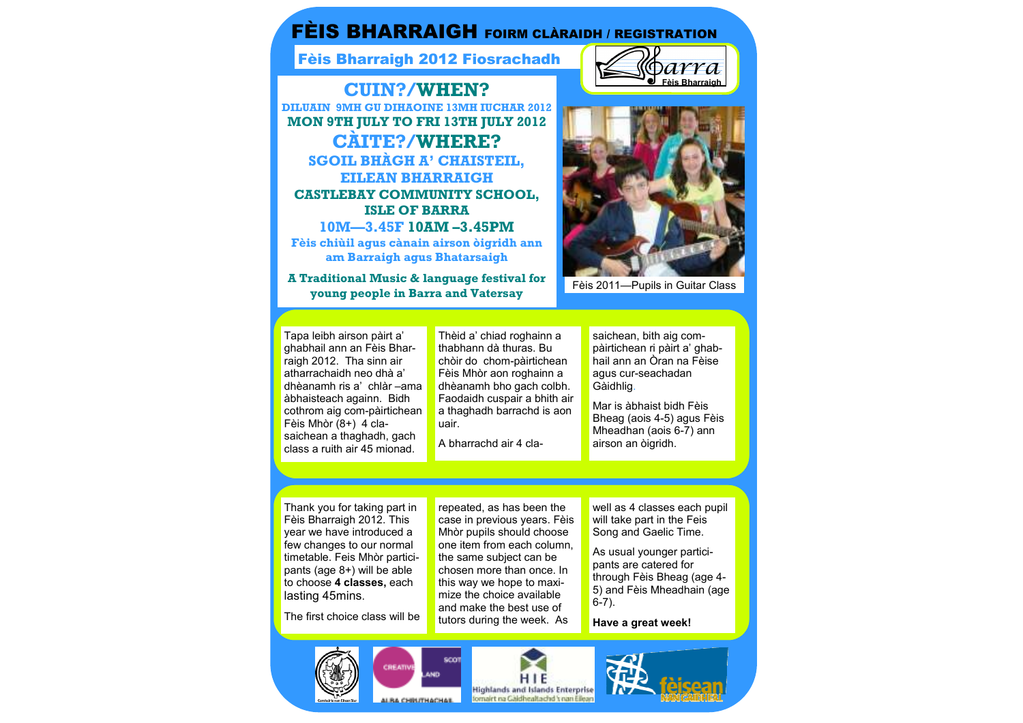# FÈIS BHARRAIGH FOIRM CLÀRAIDH / REGISTRATION

Fèis Bharraigh 2012 Fiosrachadh

**CUIN?/WHEN? DILUAIN 9MH GU DIHAOINE 13MH IUCHAR 2012 MON 9TH JULY TO FRI 13TH JULY 2012 CÀITE?/WHERE? SGOIL BHÀGH A' CHAISTEIL, EILEAN BHARRAIGH CASTLEBAY COMMUNITY SCHOOL, ISLE OF BARRA 10M—3.45F 10AM –3.45PM Fèis chiùil agus cànain airson òigridh ann am Barraigh agus Bhatarsaigh** 

**A Traditional Music & language festival for young people in Barra and Vatersay** 





Fèis 2011—Pupils in Guitar Class

Tapa leibh airson pàirt a' ghabhail ann an Fèis Bharraigh 2012. Tha sinn air atharrachaidh neo dhà a' dhèanamh ris a' chlàr –ama àbhaisteach againn. Bidh cothrom aig com-pàirtichean Fèis Mhòr (8+) 4 clasaichean a thaghadh, gach class a ruith air 45 mionad.

Thèid a' chiad roghainn a thabhann dà thuras. Bu chòir do chom-pàirtichean Fèis Mhòr aon roghainn a dhèanamh bho gach colbh. Faodaidh cuspair a bhith air a thaghadh barrachd is aon uair.

A bharrachd air 4 cla-

saichean, bith aig compàirtichean ri pàirt a' ghab-

hail ann an Òran na Fèise<br>agus cur-seachadan<br>Gàidhlig.<br>Mar is àbhaist bidh Fèis<br>Bheag (aois 4-5) agus Fèis<br>Mheadhan (aois 6-7) ann<br>airson an òigridh.

Thank you for taking part in Fèis Bharraigh 2012. This year we have introduced a few changes to our normal timetable. Feis Mhòr participants (age 8+) will be able to choose **4 classes,** each

lasting 45mins. The first choice class will be

repeated, as has been the case in previous years. Fèis Mhòr pupils should choose one item from each column, the same subject can be chosen more than once. In this way we hope to maximize the choice available and make the best use of tutors during the week. As

well as 4 classes each pupil will take part in the Feis Song and Gaelic Time.

As usual younger participants are catered for through Fèis Bheag (age 4- 5) and Fèis Mheadhain (age 6-7).

**Have a great week!** 

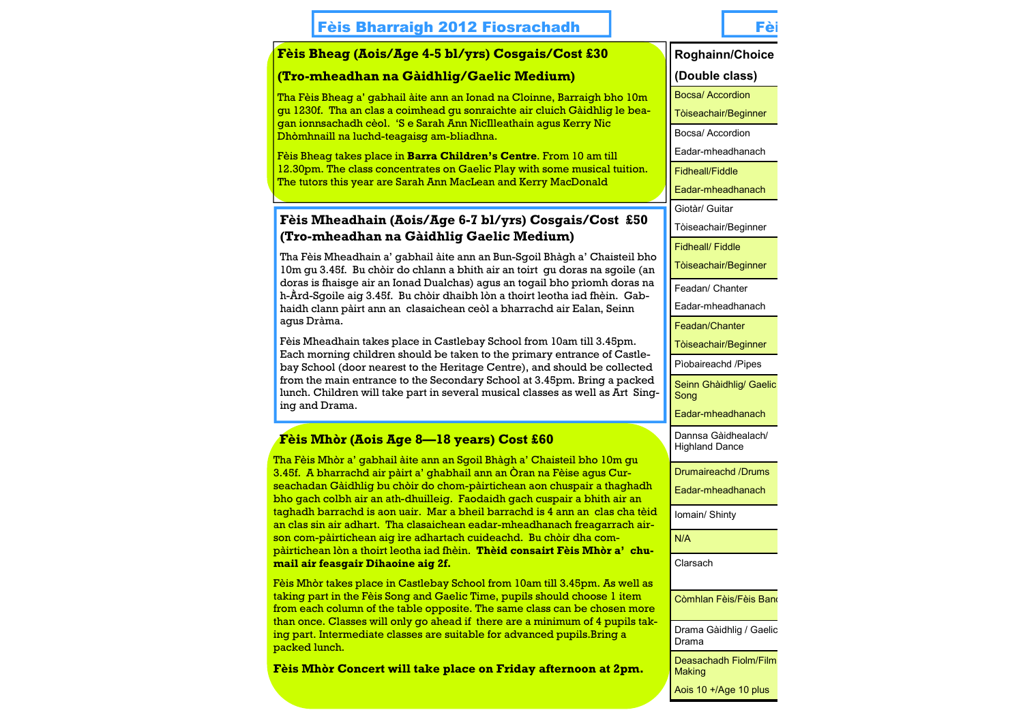## **Fèis Bharraigh 2012 Fiosrachadh Fèis Mhòraigh An T**ei

#### **Fèis Bheag (Aois/Age 4-5 bl/yrs) Cosgais/Cost £30**

#### **(Tro-mheadhan na Gàidhlig/Gaelic Medium)**

Tha Fèis Bheag a' gabhail àite ann an Ionad na Cloinne, Barraigh bho 10m gu 1230f. Tha an clas a coimhead gu sonraichte air cluich Gàidhlig le beagan ionnsachadh cèol. 'S e Sarah Ann NicIlleathain agus Kerry Nic Dhòmhnaill na luchd-teagaisg am-bliadhna.

Fèis Bheag takes place in **Barra Children's Centre**. From 10 am till 12.30pm. The class concentrates on Gaelic Play with some musical tuition. The tutors this year are Sarah Ann MacLean and Kerry MacDonald

### **Fèis Mheadhain (Aois/Age 6-7 bl/yrs) Cosgais/Cost £50 (Tro-mheadhan na Gàidhlig Gaelic Medium)**

Tha Fèis Mheadhain a' gabhail àite ann an Bun-Sgoil Bhàgh a' Chaisteil bho 10m gu 3.45f. Bu chòir do chlann a bhith air an toirt gu doras na sgoile (an doras is fhaisge air an Ionad Dualchas) agus an togail bho prìomh doras na h-Àrd-Sgoile aig 3.45f. Bu chòir dhaibh lòn a thoirt leotha iad fhèin. Gabhaidh clann pàirt ann an clasaichean ceòl a bharrachd air Ealan, Seinn agus Dràma.

Fèis Mheadhain takes place in Castlebay School from 10am till 3.45pm. Each morning children should be taken to the primary entrance of Castlebay School (door nearest to the Heritage Centre), and should be collected from the main entrance to the Secondary School at 3.45pm. Bring a packed lunch. Children will take part in several musical classes as well as Art Singing and Drama.

## **Fèis Mhòr (Aois Age 8—18 years) Cost £60**

Tha Fèis Mhòr a' gabhail àite ann an Sgoil Bhàgh a' Chaisteil bho 10m gu 3.45f. A bharrachd air pàirt a' ghabhail ann an Òran na Fèise agus Curseachadan Gàidhlig bu chòir do chom-pàirtichean aon chuspair a thaghadh bho gach colbh air an ath-dhuilleig. Faodaidh gach cuspair a bhith air an taghadh barrachd is aon uair. Mar a bheil barrachd is 4 ann an clas cha tèid an clas sin air adhart. Tha clasaichean eadar-mheadhanach freagarrach airson com-pàirtichean aig ìre adhartach cuideachd. Bu chòir dha compàirtichean lòn a thoirt leotha iad fhèin. **Thèid consairt Fèis Mhòr a' chumail air feasgair Dihaoine aig 2f.**

Fèis Mhòr takes place in Castlebay School from 10am till 3.45pm. As well as taking part in the Fèis Song and Gaelic Time, pupils should choose 1 item from each column of the table opposite. The same class can be chosen more than once. Classes will only go ahead if there are a minimum of 4 pupils taking part. Intermediate classes are suitable for advanced pupils.Bring a packed lunch.

**Fèis Mhòr Concert will take place on Friday afternoon at 2pm.**

**Roghainn/Choice 1(Double class)** Bocsa/ Accordion Tòiseachair/Beginner Bocsa/ Accordion Eadar-mheadhanach Fidheall/Fiddle Eadar-mheadhanach Giotàr/ Guitar Tòiseachair/Beginner Fidheall/ Fiddle Tòiseachair/Beginner Feadan/ Chanter Eadar-mheadhanach Feadan/Chanter Tòiseachair/Beginner Pìobaireachd /Pipes Seinn Ghàidhlig/ Gaelic **Song** Eadar-mheadhanach Dannsa Gàidhealach/ Highland Dance Drumaireachd /Drums Eadar-mheadhanach Iomain/ Shinty N/A Còmhlan Fèis/Fèis Band Drama Gàidhlig / Gaelic Clarsach

Deasachadh Fiolm/Film **Making** 

Drama

Aois 10 +/Age 10 plus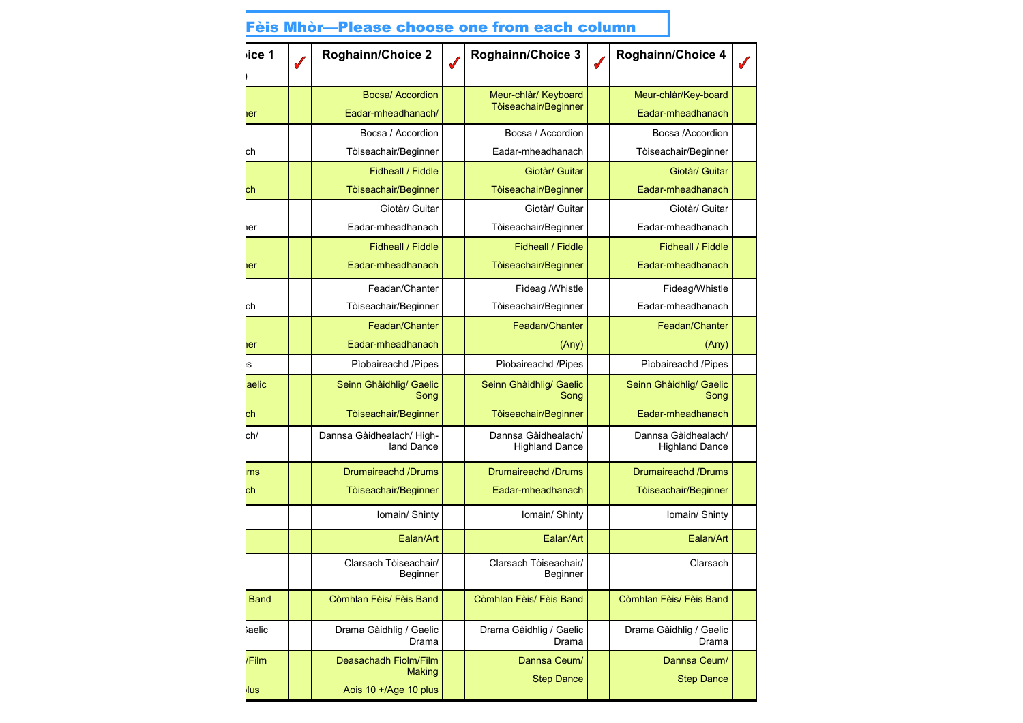| vice 1        | <b>Roghainn/Choice 2</b>                | Roghainn/Choice 3                            | Roghainn/Choice 4                            |  |
|---------------|-----------------------------------------|----------------------------------------------|----------------------------------------------|--|
|               |                                         |                                              |                                              |  |
|               | <b>Bocsa/ Accordion</b>                 | Meur-chlàr/ Keyboard                         | Meur-chlàr/Key-board                         |  |
| er            | Eadar-mheadhanach/                      | Tòiseachair/Beginner                         | Eadar-mheadhanach                            |  |
|               | Bocsa / Accordion                       | Bocsa / Accordion                            | Bocsa /Accordion                             |  |
| ch            | Tòiseachair/Beginner                    | Eadar-mheadhanach                            | Tòiseachair/Beginner                         |  |
|               | Fidheall / Fiddle                       | Giotàr/ Guitar                               | Giotàr/ Guitar                               |  |
| ch            | Tòiseachair/Beginner                    | Tòiseachair/Beginner                         | Eadar-mheadhanach                            |  |
|               | Giotàr/ Guitar                          | Giotàr/ Guitar                               | Giotàr/ Guitar                               |  |
| er            | Eadar-mheadhanach                       | Tòiseachair/Beginner                         | Eadar-mheadhanach                            |  |
|               | Fidheall / Fiddle                       | Fidheall / Fiddle                            | Fidheall / Fiddle                            |  |
| er            | Eadar-mheadhanach                       | Tòiseachair/Beginner                         | Eadar-mheadhanach                            |  |
|               | Feadan/Chanter                          | Fideag /Whistle                              | Fideag/Whistle                               |  |
| ch            | Tòiseachair/Beginner                    | Tòiseachair/Beginner                         | Eadar-mheadhanach                            |  |
|               | Feadan/Chanter                          | Feadan/Chanter                               | Feadan/Chanter                               |  |
| er            | Eadar-mheadhanach                       | (Any)                                        | (Any)                                        |  |
| ۱S            | Pìobaireachd /Pipes                     | Pìobaireachd /Pipes                          | Pìobaireachd /Pipes                          |  |
| aelic         | Seinn Ghàidhlig/ Gaelic<br>Song         | Seinn Ghàidhlig/ Gaelic<br>Song              | Seinn Ghàidhlig/ Gaelic<br>Song              |  |
| ch            | Tòiseachair/Beginner                    | Tòiseachair/Beginner                         | Eadar-mheadhanach                            |  |
| ch/           | Dannsa Gàidhealach/ High-<br>land Dance | Dannsa Gàidhealach/<br><b>Highland Dance</b> | Dannsa Gàidhealach/<br><b>Highland Dance</b> |  |
| <b>ims</b>    | Drumaireachd /Drums                     | Drumaireachd /Drums                          | Drumaireachd /Drums                          |  |
| ch            | Tòiseachair/Beginner                    | Eadar-mheadhanach                            | Tòiseachair/Beginner                         |  |
|               | Iomain/ Shinty                          | Iomain/ Shinty                               | Iomain/ Shinty                               |  |
|               | Ealan/Art                               | Ealan/Art                                    | Ealan/Art                                    |  |
|               | Clarsach Tòiseachair/<br>Beginner       | Clarsach Tòiseachair/<br>Beginner            | Clarsach                                     |  |
| <b>Band</b>   | Còmhlan Fèis/ Fèis Band                 | Còmhlan Fèis/ Fèis Band                      | Còmhlan Fèis/ Fèis Band                      |  |
| <b>Gaelic</b> | Drama Gàidhlig / Gaelic<br>Drama        | Drama Gàidhlig / Gaelic<br>Drama             | Drama Gàidhlig / Gaelic<br>Drama             |  |
| /Film         | Deasachadh Fiolm/Film                   | Dannsa Ceum/                                 | Dannsa Ceum/                                 |  |
|               | Making                                  | <b>Step Dance</b>                            | <b>Step Dance</b>                            |  |
| <b>lus</b>    | Aois 10 +/Age 10 plus                   |                                              |                                              |  |

# Fèis Mhòr—Please choose one from each column